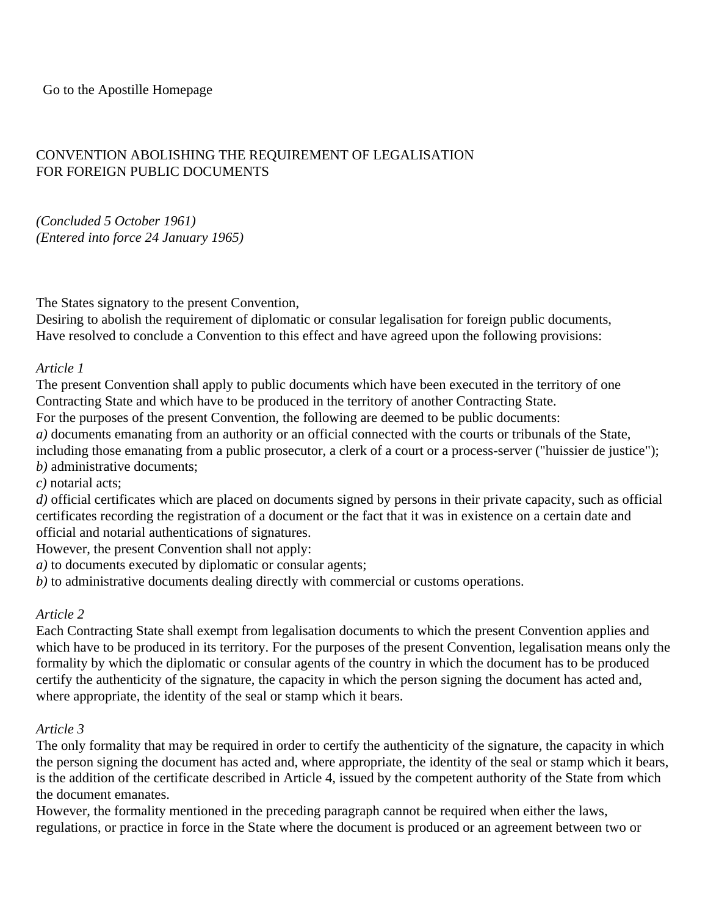Go to the Apostille Homepage

# CONVENTION ABOLISHING THE REQUIREMENT OF LEGALISATION FOR FOREIGN PUBLIC DOCUMENTS

*(Concluded 5 October 1961) (Entered into force 24 January 1965)*

The States signatory to the present Convention,

Desiring to abolish the requirement of diplomatic or consular legalisation for foreign public documents, Have resolved to conclude a Convention to this effect and have agreed upon the following provisions:

*Article 1*

The present Convention shall apply to public documents which have been executed in the territory of one Contracting State and which have to be produced in the territory of another Contracting State.

For the purposes of the present Convention, the following are deemed to be public documents:

*a)* documents emanating from an authority or an official connected with the courts or tribunals of the State, including those emanating from a public prosecutor, a clerk of a court or a process-server ("huissier de justice");

*b)* administrative documents;

*c)* notarial acts;

*d)* official certificates which are placed on documents signed by persons in their private capacity, such as official certificates recording the registration of a document or the fact that it was in existence on a certain date and official and notarial authentications of signatures.

However, the present Convention shall not apply:

*a)* to documents executed by diplomatic or consular agents;

*b)* to administrative documents dealing directly with commercial or customs operations.

#### *Article 2*

Each Contracting State shall exempt from legalisation documents to which the present Convention applies and which have to be produced in its territory. For the purposes of the present Convention, legalisation means only the formality by which the diplomatic or consular agents of the country in which the document has to be produced certify the authenticity of the signature, the capacity in which the person signing the document has acted and, where appropriate, the identity of the seal or stamp which it bears.

#### *Article 3*

The only formality that may be required in order to certify the authenticity of the signature, the capacity in which the person signing the document has acted and, where appropriate, the identity of the seal or stamp which it bears, is the addition of the certificate described in Article 4, issued by the competent authority of the State from which the document emanates.

However, the formality mentioned in the preceding paragraph cannot be required when either the laws, regulations, or practice in force in the State where the document is produced or an agreement between two or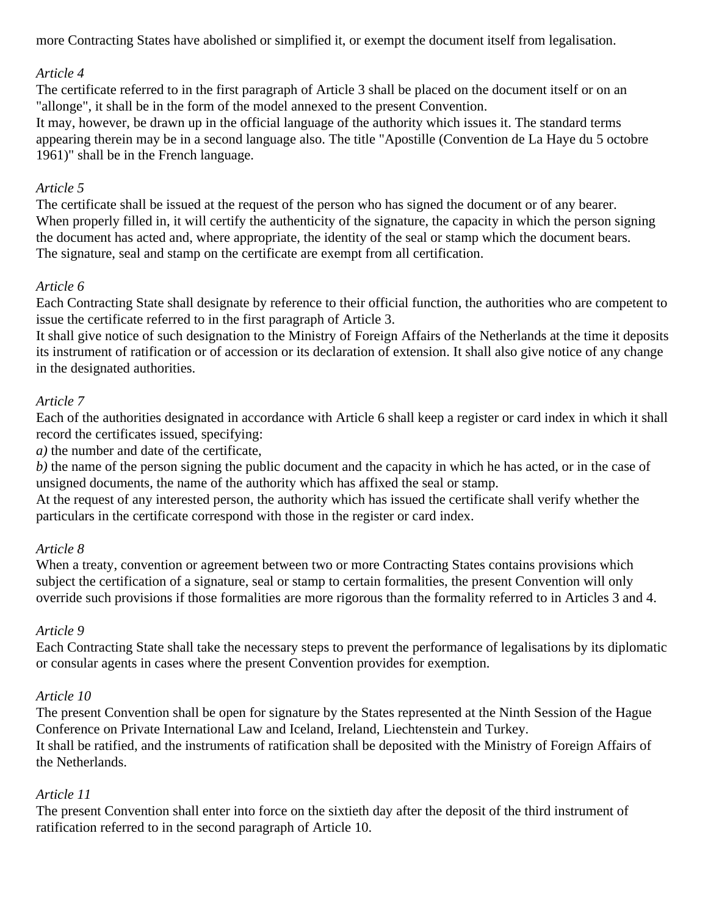more Contracting States have abolished or simplified it, or exempt the document itself from legalisation.

## *Article 4*

The certificate referred to in the first paragraph of Article 3 shall be placed on the document itself or on an "allonge", it shall be in the form of the model annexed to the present Convention.

It may, however, be drawn up in the official language of the authority which issues it. The standard terms appearing therein may be in a second language also. The title "Apostille (Convention de La Haye du 5 octobre 1961)" shall be in the French language.

### *Article 5*

The certificate shall be issued at the request of the person who has signed the document or of any bearer. When properly filled in, it will certify the authenticity of the signature, the capacity in which the person signing the document has acted and, where appropriate, the identity of the seal or stamp which the document bears. The signature, seal and stamp on the certificate are exempt from all certification.

#### *Article 6*

Each Contracting State shall designate by reference to their official function, the authorities who are competent to issue the certificate referred to in the first paragraph of Article 3.

It shall give notice of such designation to the Ministry of Foreign Affairs of the Netherlands at the time it deposits its instrument of ratification or of accession or its declaration of extension. It shall also give notice of any change in the designated authorities.

### *Article 7*

Each of the authorities designated in accordance with Article 6 shall keep a register or card index in which it shall record the certificates issued, specifying:

*a)* the number and date of the certificate,

*b)* the name of the person signing the public document and the capacity in which he has acted, or in the case of unsigned documents, the name of the authority which has affixed the seal or stamp.

At the request of any interested person, the authority which has issued the certificate shall verify whether the particulars in the certificate correspond with those in the register or card index.

#### *Article 8*

When a treaty, convention or agreement between two or more Contracting States contains provisions which subject the certification of a signature, seal or stamp to certain formalities, the present Convention will only override such provisions if those formalities are more rigorous than the formality referred to in Articles 3 and 4.

#### *Article 9*

Each Contracting State shall take the necessary steps to prevent the performance of legalisations by its diplomatic or consular agents in cases where the present Convention provides for exemption.

#### *Article 10*

The present Convention shall be open for signature by the States represented at the Ninth Session of the Hague Conference on Private International Law and Iceland, Ireland, Liechtenstein and Turkey.

It shall be ratified, and the instruments of ratification shall be deposited with the Ministry of Foreign Affairs of the Netherlands.

## *Article 11*

The present Convention shall enter into force on the sixtieth day after the deposit of the third instrument of ratification referred to in the second paragraph of Article 10.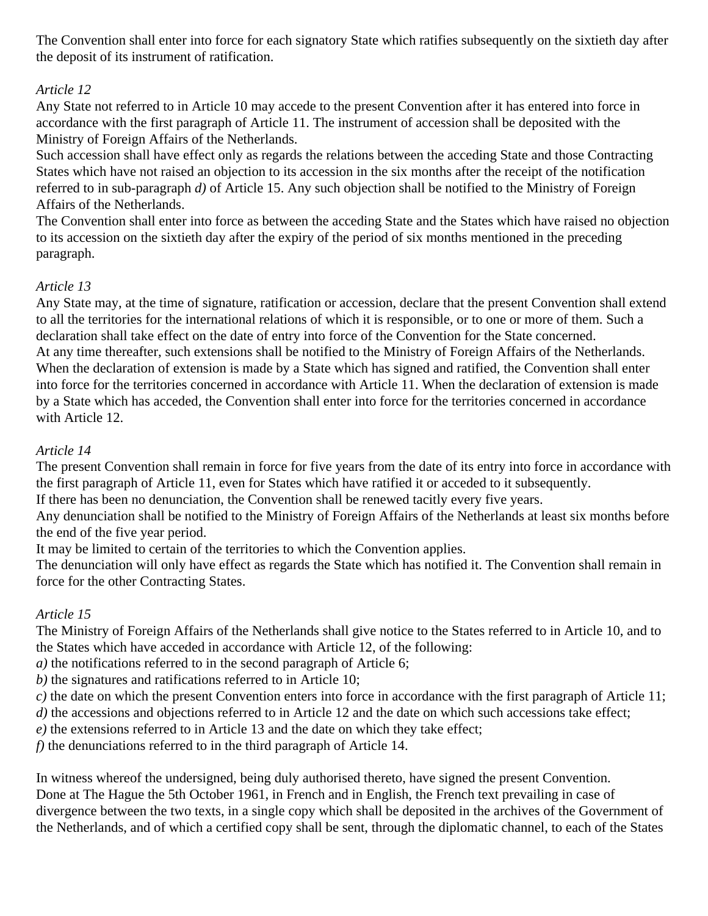The Convention shall enter into force for each signatory State which ratifies subsequently on the sixtieth day after the deposit of its instrument of ratification.

# *Article 12*

Any State not referred to in Article 10 may accede to the present Convention after it has entered into force in accordance with the first paragraph of Article 11. The instrument of accession shall be deposited with the Ministry of Foreign Affairs of the Netherlands.

Such accession shall have effect only as regards the relations between the acceding State and those Contracting States which have not raised an objection to its accession in the six months after the receipt of the notification referred to in sub-paragraph *d)* of Article 15. Any such objection shall be notified to the Ministry of Foreign Affairs of the Netherlands.

The Convention shall enter into force as between the acceding State and the States which have raised no objection to its accession on the sixtieth day after the expiry of the period of six months mentioned in the preceding paragraph.

## *Article 13*

Any State may, at the time of signature, ratification or accession, declare that the present Convention shall extend to all the territories for the international relations of which it is responsible, or to one or more of them. Such a declaration shall take effect on the date of entry into force of the Convention for the State concerned. At any time thereafter, such extensions shall be notified to the Ministry of Foreign Affairs of the Netherlands. When the declaration of extension is made by a State which has signed and ratified, the Convention shall enter into force for the territories concerned in accordance with Article 11. When the declaration of extension is made by a State which has acceded, the Convention shall enter into force for the territories concerned in accordance with Article 12.

### *Article 14*

The present Convention shall remain in force for five years from the date of its entry into force in accordance with the first paragraph of Article 11, even for States which have ratified it or acceded to it subsequently.

If there has been no denunciation, the Convention shall be renewed tacitly every five years.

Any denunciation shall be notified to the Ministry of Foreign Affairs of the Netherlands at least six months before the end of the five year period.

It may be limited to certain of the territories to which the Convention applies.

The denunciation will only have effect as regards the State which has notified it. The Convention shall remain in force for the other Contracting States.

## *Article 15*

The Ministry of Foreign Affairs of the Netherlands shall give notice to the States referred to in Article 10, and to the States which have acceded in accordance with Article 12, of the following:

*a)* the notifications referred to in the second paragraph of Article 6;

*b)* the signatures and ratifications referred to in Article 10;

- *c)* the date on which the present Convention enters into force in accordance with the first paragraph of Article 11;
- *d)* the accessions and objections referred to in Article 12 and the date on which such accessions take effect;
- *e)* the extensions referred to in Article 13 and the date on which they take effect;
- *f)* the denunciations referred to in the third paragraph of Article 14.

In witness whereof the undersigned, being duly authorised thereto, have signed the present Convention. Done at The Hague the 5th October 1961, in French and in English, the French text prevailing in case of divergence between the two texts, in a single copy which shall be deposited in the archives of the Government of the Netherlands, and of which a certified copy shall be sent, through the diplomatic channel, to each of the States